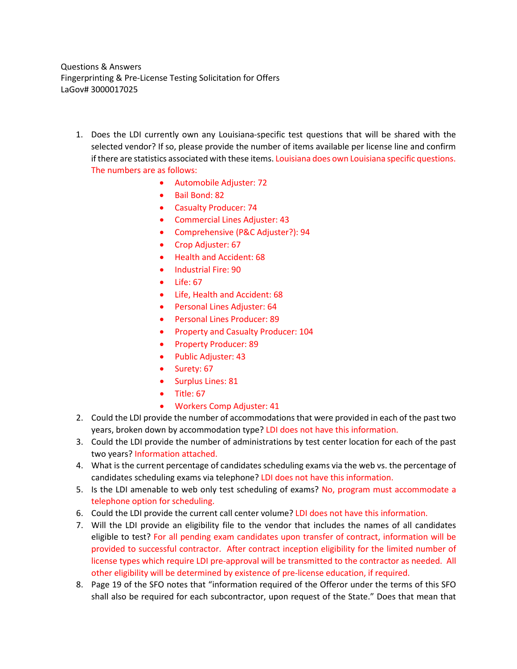Questions & Answers Fingerprinting & Pre-License Testing Solicitation for Offers LaGov# 3000017025

- 1. Does the LDI currently own any Louisiana-specific test questions that will be shared with the selected vendor? If so, please provide the number of items available per license line and confirm if there are statistics associated with these items. Louisiana does own Louisiana specific questions. The numbers are as follows:
	- Automobile Adjuster: 72
	- Bail Bond: 82
	- Casualty Producer: 74
	- Commercial Lines Adjuster: 43
	- Comprehensive (P&C Adjuster?): 94
	- Crop Adjuster: 67
	- Health and Accident: 68
	- Industrial Fire: 90
	- Life: 67
	- Life, Health and Accident: 68
	- Personal Lines Adjuster: 64
	- Personal Lines Producer: 89
	- Property and Casualty Producer: 104
	- Property Producer: 89
	- Public Adjuster: 43
	- Surety: 67
	- Surplus Lines: 81
	- Title: 67
	- Workers Comp Adjuster: 41
- 2. Could the LDI provide the number of accommodations that were provided in each of the past two years, broken down by accommodation type? LDI does not have this information.
- 3. Could the LDI provide the number of administrations by test center location for each of the past two years? Information attached.
- 4. What is the current percentage of candidates scheduling exams via the web vs. the percentage of candidates scheduling exams via telephone? LDI does not have this information.
- 5. Is the LDI amenable to web only test scheduling of exams? No, program must accommodate a telephone option for scheduling.
- 6. Could the LDI provide the current call center volume? LDI does not have this information.
- 7. Will the LDI provide an eligibility file to the vendor that includes the names of all candidates eligible to test? For all pending exam candidates upon transfer of contract, information will be provided to successful contractor. After contract inception eligibility for the limited number of license types which require LDI pre-approval will be transmitted to the contractor as needed. All other eligibility will be determined by existence of pre-license education, if required.
- 8. Page 19 of the SFO notes that "information required of the Offeror under the terms of this SFO shall also be required for each subcontractor, upon request of the State." Does that mean that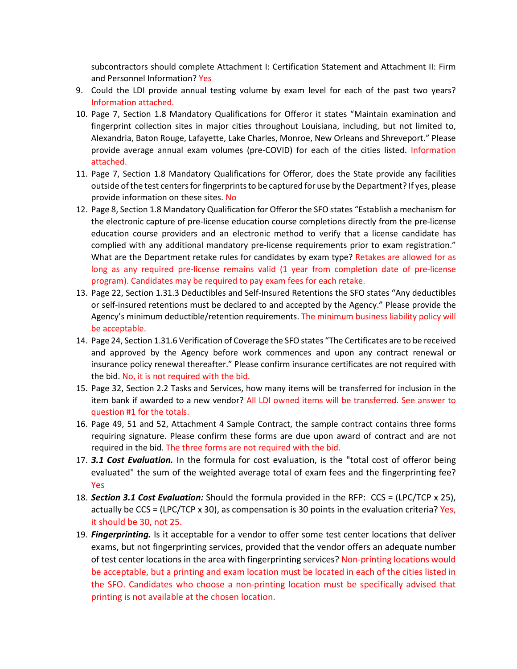subcontractors should complete Attachment I: Certification Statement and Attachment II: Firm and Personnel Information? Yes

- 9. Could the LDI provide annual testing volume by exam level for each of the past two years? Information attached.
- 10. Page 7, Section 1.8 Mandatory Qualifications for Offeror it states "Maintain examination and fingerprint collection sites in major cities throughout Louisiana, including, but not limited to, Alexandria, Baton Rouge, Lafayette, Lake Charles, Monroe, New Orleans and Shreveport." Please provide average annual exam volumes (pre-COVID) for each of the cities listed. Information attached.
- 11. Page 7, Section 1.8 Mandatory Qualifications for Offeror, does the State provide any facilities outside of the test centers for fingerprints to be captured for use by the Department? If yes, please provide information on these sites. No
- 12. Page 8, Section 1.8 Mandatory Qualification for Offeror the SFO states "Establish a mechanism for the electronic capture of pre-license education course completions directly from the pre-license education course providers and an electronic method to verify that a license candidate has complied with any additional mandatory pre-license requirements prior to exam registration." What are the Department retake rules for candidates by exam type? Retakes are allowed for as long as any required pre-license remains valid (1 year from completion date of pre-license program). Candidates may be required to pay exam fees for each retake.
- 13. Page 22, Section 1.31.3 Deductibles and Self-Insured Retentions the SFO states "Any deductibles or self-insured retentions must be declared to and accepted by the Agency." Please provide the Agency's minimum deductible/retention requirements. The minimum business liability policy will be acceptable.
- 14. Page 24, Section 1.31.6 Verification of Coverage the SFO states "The Certificates are to be received and approved by the Agency before work commences and upon any contract renewal or insurance policy renewal thereafter." Please confirm insurance certificates are not required with the bid. No, it is not required with the bid.
- 15. Page 32, Section 2.2 Tasks and Services, how many items will be transferred for inclusion in the item bank if awarded to a new vendor? All LDI owned items will be transferred. See answer to question #1 for the totals.
- 16. Page 49, 51 and 52, Attachment 4 Sample Contract, the sample contract contains three forms requiring signature. Please confirm these forms are due upon award of contract and are not required in the bid. The three forms are not required with the bid.
- 17. *3.1 Cost Evaluation.* In the formula for cost evaluation, is the "total cost of offeror being evaluated" the sum of the weighted average total of exam fees and the fingerprinting fee? Yes
- 18. *Section 3.1 Cost Evaluation:* Should the formula provided in the RFP: CCS = (LPC/TCP x 25), actually be CCS = (LPC/TCP x 30), as compensation is 30 points in the evaluation criteria? Yes, it should be 30, not 25.
- 19. *Fingerprinting.* Is it acceptable for a vendor to offer some test center locations that deliver exams, but not fingerprinting services, provided that the vendor offers an adequate number of test center locations in the area with fingerprinting services? Non-printing locations would be acceptable, but a printing and exam location must be located in each of the cities listed in the SFO. Candidates who choose a non-printing location must be specifically advised that printing is not available at the chosen location.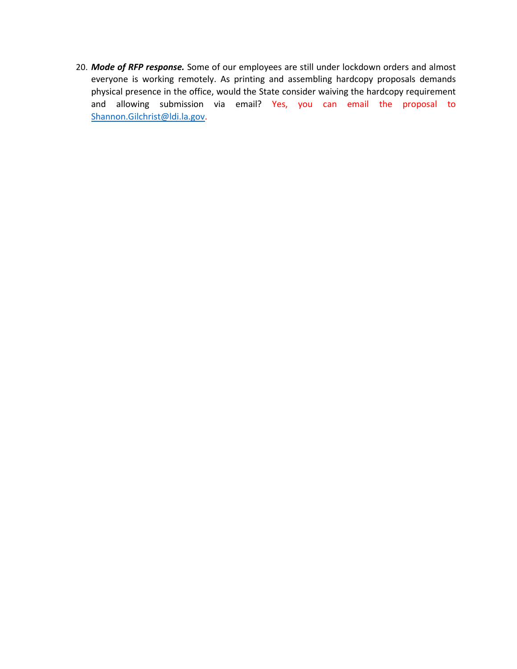20. *Mode of RFP response.* Some of our employees are still under lockdown orders and almost everyone is working remotely. As printing and assembling hardcopy proposals demands physical presence in the office, would the State consider waiving the hardcopy requirement and allowing submission via email? Yes, you can email the proposal to [Shannon.Gilchrist@ldi.la.gov.](mailto:Shannon.Gilchrist@ldi.la.gov)